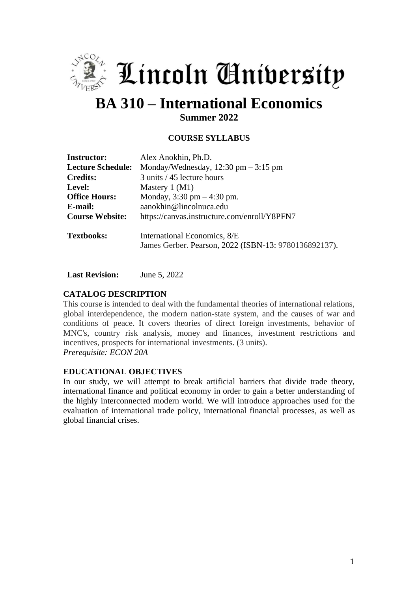

 $\stackrel{\hbox{\tiny{*}}}{\scriptstyle{\circ}}$  Lincoln Anibersity

# **BA 310 – International Economics**

**Summer 2022**

# **COURSE SYLLABUS**

| <b>Instructor:</b>       | Alex Anokhin, Ph.D.                                                                   |
|--------------------------|---------------------------------------------------------------------------------------|
| <b>Lecture Schedule:</b> | Monday/Wednesday, $12:30 \text{ pm} - 3:15 \text{ pm}$                                |
| <b>Credits:</b>          | 3 units / 45 lecture hours                                                            |
| Level:                   | Mastery $1 (M1)$                                                                      |
| <b>Office Hours:</b>     | Monday, $3:30 \text{ pm} - 4:30 \text{ pm}$ .                                         |
| E-mail:                  | aanokhin@lincolnuca.edu                                                               |
| <b>Course Website:</b>   | https://canvas.instructure.com/enroll/Y8PFN7                                          |
| <b>Textbooks:</b>        | International Economics, 8/E<br>James Gerber. Pearson, 2022 (ISBN-13: 9780136892137). |

**Last Revision:** June 5, 2022

## **CATALOG DESCRIPTION**

This course is intended to deal with the fundamental theories of international relations, global interdependence, the modern nation-state system, and the causes of war and conditions of peace. It covers theories of direct foreign investments, behavior of MNC's, country risk analysis, money and finances, investment restrictions and incentives, prospects for international investments. (3 units). *Prerequisite: ECON 20A*

#### **EDUCATIONAL OBJECTIVES**

In our study, we will attempt to break artificial barriers that divide trade theory, international finance and political economy in order to gain a better understanding of the highly interconnected modern world. We will introduce approaches used for the evaluation of international trade policy, international financial processes, as well as global financial crises.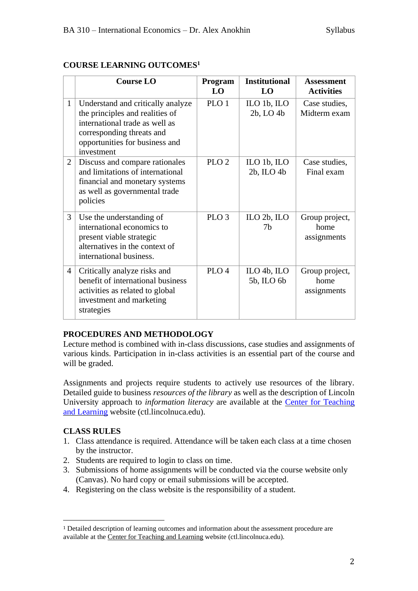# **COURSE LEARNING OUTCOMES<sup>1</sup>**

|                | <b>Course LO</b>                                                                                                                                                                    | Program<br>LO    | <b>Institutional</b><br>LO        | <b>Assessment</b><br><b>Activities</b> |
|----------------|-------------------------------------------------------------------------------------------------------------------------------------------------------------------------------------|------------------|-----------------------------------|----------------------------------------|
| $\mathbf{1}$   | Understand and critically analyze<br>the principles and realities of<br>international trade as well as<br>corresponding threats and<br>opportunities for business and<br>investment | PLO <sub>1</sub> | ILO $1b$ , ILO<br>$2b$ , LO $4b$  | Case studies,<br>Midterm exam          |
| 2              | Discuss and compare rationales<br>and limitations of international<br>financial and monetary systems<br>as well as governmental trade<br>policies                                   | PLO <sub>2</sub> | ILO $1b$ , ILO<br>$2b$ , ILO $4b$ | Case studies,<br>Final exam            |
| 3              | Use the understanding of<br>international economics to<br>present viable strategic<br>alternatives in the context of<br>international business.                                     | PLO <sub>3</sub> | ILO $2b$ , ILO<br>7b              | Group project,<br>home<br>assignments  |
| $\overline{4}$ | Critically analyze risks and<br>benefit of international business<br>activities as related to global<br>investment and marketing<br>strategies                                      | PLO <sub>4</sub> | ILO 4b, ILO<br>5b, ILO 6b         | Group project,<br>home<br>assignments  |

## **PROCEDURES AND METHODOLOGY**

Lecture method is combined with in-class discussions, case studies and assignments of various kinds. Participation in in-class activities is an essential part of the course and will be graded.

Assignments and projects require students to actively use resources of the library. Detailed guide to business *resources of the library* as well as the description of Lincoln University approach to *information literacy* are available at the [Center for Teaching](http://ctl.lincolnuca.edu/kb-base/library-guide-business-resources/)  [and Learning](http://ctl.lincolnuca.edu/kb-base/library-guide-business-resources/) website (ctl.lincolnuca.edu).

## **CLASS RULES**

- 1. Class attendance is required. Attendance will be taken each class at a time chosen by the instructor.
- 2. Students are required to login to class on time.
- 3. Submissions of home assignments will be conducted via the course website only (Canvas). No hard copy or email submissions will be accepted.
- 4. Registering on the class website is the responsibility of a student.

<sup>1</sup> Detailed description of learning outcomes and information about the assessment procedure are available at the Center for [Teaching](http://ctl.lincolnuca.edu/) and Learning website (ctl.lincolnuca.edu).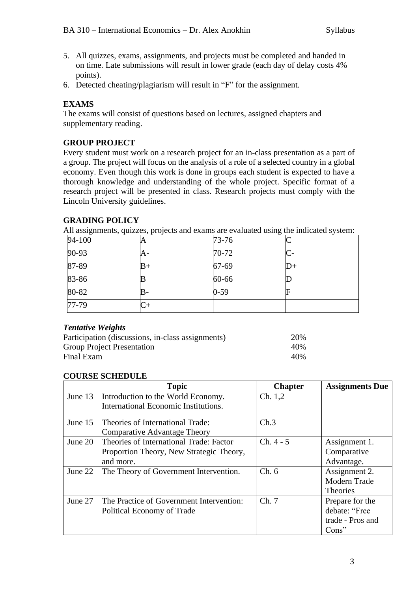- 5. All quizzes, exams, assignments, and projects must be completed and handed in on time. Late submissions will result in lower grade (each day of delay costs 4% points).
- 6. Detected cheating/plagiarism will result in "F" for the assignment.

# **EXAMS**

The exams will consist of questions based on lectures, assigned chapters and supplementary reading.

## **GROUP PROJECT**

Every student must work on a research project for an in-class presentation as a part of a group. The project will focus on the analysis of a role of a selected country in a global economy. Even though this work is done in groups each student is expected to have a thorough knowledge and understanding of the whole project. Specific format of a research project will be presented in class. Research projects must comply with the Lincoln University guidelines.

## **GRADING POLICY**

All assignments, quizzes, projects and exams are evaluated using the indicated system:

| 94-100 | A    | $73 - 76$ |     |
|--------|------|-----------|-----|
| 90-93  | A-   | $70 - 72$ |     |
| 87-89  | $B+$ | 67-69     | ID+ |
| 83-86  |      | 60-66     |     |
| 80-82  | В-   | $0 - 59$  |     |
| 77-79  |      |           |     |

#### *Tentative Weights*

| Participation (discussions, in-class assignments) | 20% |
|---------------------------------------------------|-----|
| <b>Group Project Presentation</b>                 | 40% |
| Final Exam                                        | 40% |

#### **COURSE SCHEDULE**

|         | <b>Topic</b>                             | <b>Chapter</b> | <b>Assignments Due</b> |
|---------|------------------------------------------|----------------|------------------------|
| June 13 | Introduction to the World Economy.       | Ch. 1, 2       |                        |
|         | International Economic Institutions.     |                |                        |
| June 15 | Theories of International Trade:         | Ch.3           |                        |
|         | Comparative Advantage Theory             |                |                        |
| June 20 | Theories of International Trade: Factor  | $Ch. 4 - 5$    | Assignment 1.          |
|         | Proportion Theory, New Strategic Theory, |                | Comparative            |
|         | and more.                                |                | Advantage.             |
| June 22 | The Theory of Government Intervention.   | Ch.6           | Assignment 2.          |
|         |                                          |                | Modern Trade           |
|         |                                          |                | <b>Theories</b>        |
| June 27 | The Practice of Government Intervention: | Ch.7           | Prepare for the        |
|         | Political Economy of Trade               |                | debate: "Free          |
|         |                                          |                | trade - Pros and       |
|         |                                          |                | $Cons$ "               |